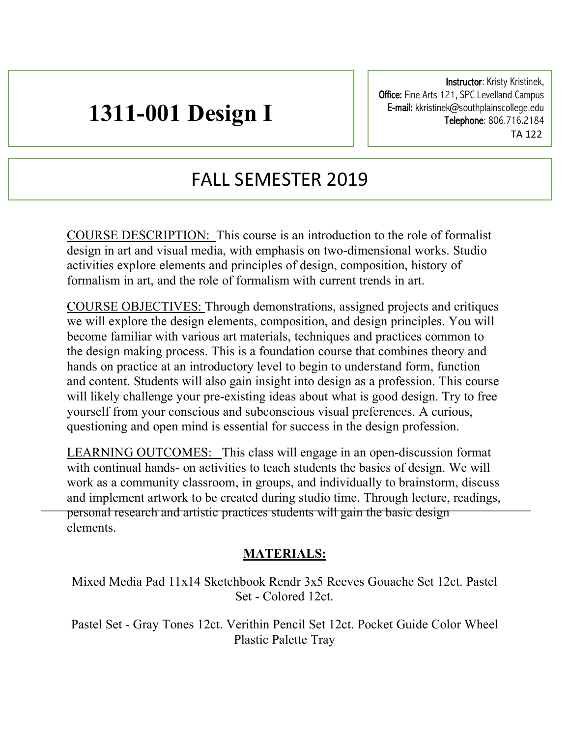# **1311-001 Design I**

Instructor: Kristy Kristinek, Office: Fine Arts 121, SPC Levelland Campus E-mail: kkristinek@southplainscollege.edu Telephone: 806.716.2184 TA 122

## FALL SEMESTER 2019

COURSE DESCRIPTION: This course is an introduction to the role of formalist design in art and visual media, with emphasis on two-dimensional works. Studio activities explore elements and principles of design, composition, history of formalism in art, and the role of formalism with current trends in art.

COURSE OBJECTIVES: Through demonstrations, assigned projects and critiques we will explore the design elements, composition, and design principles. You will become familiar with various art materials, techniques and practices common to the design making process. This is a foundation course that combines theory and hands on practice at an introductory level to begin to understand form, function and content. Students will also gain insight into design as a profession. This course will likely challenge your pre-existing ideas about what is good design. Try to free yourself from your conscious and subconscious visual preferences. A curious, questioning and open mind is essential for success in the design profession.

LEARNING OUTCOMES: This class will engage in an open-discussion format with continual hands- on activities to teach students the basics of design. We will work as a community classroom, in groups, and individually to brainstorm, discuss and implement artwork to be created during studio time. Through lecture, readings, personal research and artistic practices students will gain the basic design elements.

#### **MATERIALS:**

Mixed Media Pad 11x14 Sketchbook Rendr 3x5 Reeves Gouache Set 12ct. Pastel Set - Colored 12ct.

Pastel Set - Gray Tones 12ct. Verithin Pencil Set 12ct. Pocket Guide Color Wheel Plastic Palette Tray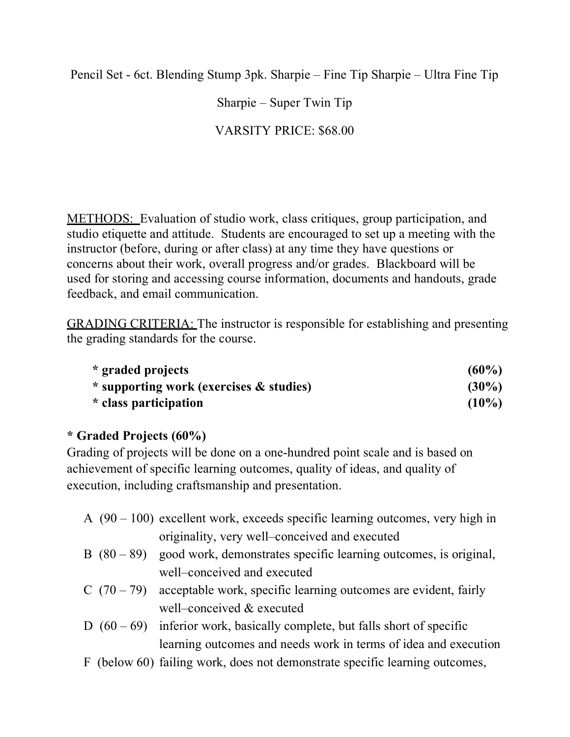Pencil Set - 6ct. Blending Stump 3pk. Sharpie – Fine Tip Sharpie – Ultra Fine Tip

Sharpie – Super Twin Tip

### VARSITY PRICE: \$68.00

METHODS: Evaluation of studio work, class critiques, group participation, and studio etiquette and attitude. Students are encouraged to set up a meeting with the instructor (before, during or after class) at any time they have questions or concerns about their work, overall progress and/or grades. Blackboard will be used for storing and accessing course information, documents and handouts, grade feedback, and email communication.

GRADING CRITERIA: The instructor is responsible for establishing and presenting the grading standards for the course.

| * graded projects                       | $(60\%)$ |
|-----------------------------------------|----------|
| * supporting work (exercises & studies) | $(30\%)$ |
| * class participation                   | $(10\%)$ |

#### **\* Graded Projects (60%)**

Grading of projects will be done on a one-hundred point scale and is based on achievement of specific learning outcomes, quality of ideas, and quality of execution, including craftsmanship and presentation.

- A (90 100) excellent work, exceeds specific learning outcomes, very high in originality, very well–conceived and executed
- B  $(80 89)$  good work, demonstrates specific learning outcomes, is original, well–conceived and executed
- C  $(70 79)$  acceptable work, specific learning outcomes are evident, fairly well–conceived & executed
- D  $(60 69)$  inferior work, basically complete, but falls short of specific learning outcomes and needs work in terms of idea and execution
- F (below 60) failing work, does not demonstrate specific learning outcomes,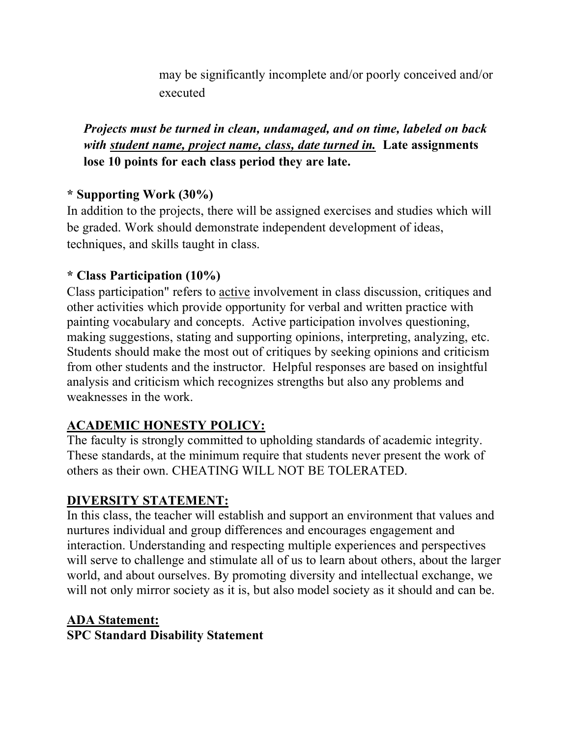may be significantly incomplete and/or poorly conceived and/or executed

*Projects must be turned in clean, undamaged, and on time, labeled on back with student name, project name, class, date turned in.* **Late assignments lose 10 points for each class period they are late.**

#### **\* Supporting Work (30%)**

In addition to the projects, there will be assigned exercises and studies which will be graded. Work should demonstrate independent development of ideas, techniques, and skills taught in class.

#### **\* Class Participation (10%)**

Class participation" refers to active involvement in class discussion, critiques and other activities which provide opportunity for verbal and written practice with painting vocabulary and concepts. Active participation involves questioning, making suggestions, stating and supporting opinions, interpreting, analyzing, etc. Students should make the most out of critiques by seeking opinions and criticism from other students and the instructor. Helpful responses are based on insightful analysis and criticism which recognizes strengths but also any problems and weaknesses in the work.

### **ACADEMIC HONESTY POLICY:**

The faculty is strongly committed to upholding standards of academic integrity. These standards, at the minimum require that students never present the work of others as their own. CHEATING WILL NOT BE TOLERATED.

### **DIVERSITY STATEMENT:**

In this class, the teacher will establish and support an environment that values and nurtures individual and group differences and encourages engagement and interaction. Understanding and respecting multiple experiences and perspectives will serve to challenge and stimulate all of us to learn about others, about the larger world, and about ourselves. By promoting diversity and intellectual exchange, we will not only mirror society as it is, but also model society as it should and can be.

#### **ADA Statement: SPC Standard Disability Statement**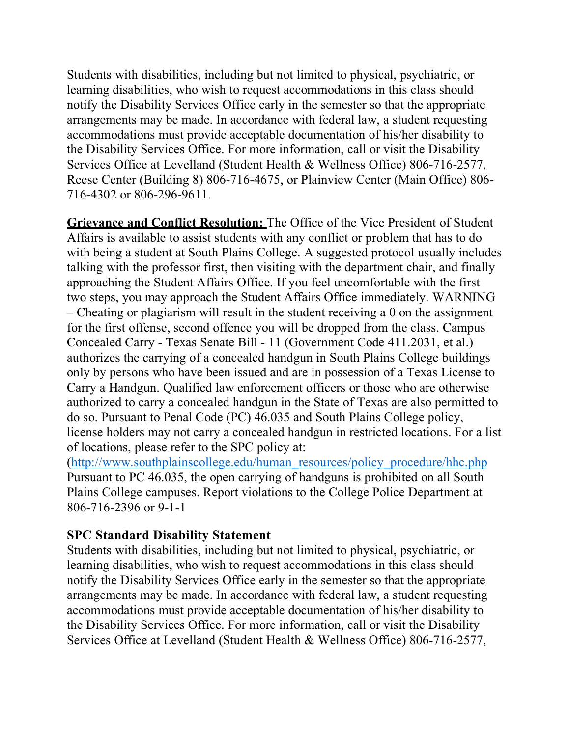Students with disabilities, including but not limited to physical, psychiatric, or learning disabilities, who wish to request accommodations in this class should notify the Disability Services Office early in the semester so that the appropriate arrangements may be made. In accordance with federal law, a student requesting accommodations must provide acceptable documentation of his/her disability to the Disability Services Office. For more information, call or visit the Disability Services Office at Levelland (Student Health & Wellness Office) 806-716-2577, Reese Center (Building 8) 806-716-4675, or Plainview Center (Main Office) 806- 716-4302 or 806-296-9611.

**Grievance and Conflict Resolution:** The Office of the Vice President of Student Affairs is available to assist students with any conflict or problem that has to do with being a student at South Plains College. A suggested protocol usually includes talking with the professor first, then visiting with the department chair, and finally approaching the Student Affairs Office. If you feel uncomfortable with the first two steps, you may approach the Student Affairs Office immediately. WARNING – Cheating or plagiarism will result in the student receiving a 0 on the assignment for the first offense, second offence you will be dropped from the class. Campus Concealed Carry - Texas Senate Bill - 11 (Government Code 411.2031, et al.) authorizes the carrying of a concealed handgun in South Plains College buildings only by persons who have been issued and are in possession of a Texas License to Carry a Handgun. Qualified law enforcement officers or those who are otherwise authorized to carry a concealed handgun in the State of Texas are also permitted to do so. Pursuant to Penal Code (PC) 46.035 and South Plains College policy, license holders may not carry a concealed handgun in restricted locations. For a list of locations, please refer to the SPC policy at:

(http://www.southplainscollege.edu/human\_resources/policy\_procedure/hhc.php Pursuant to PC 46.035, the open carrying of handguns is prohibited on all South Plains College campuses. Report violations to the College Police Department at 806-716-2396 or 9-1-1

#### **SPC Standard Disability Statement**

Students with disabilities, including but not limited to physical, psychiatric, or learning disabilities, who wish to request accommodations in this class should notify the Disability Services Office early in the semester so that the appropriate arrangements may be made. In accordance with federal law, a student requesting accommodations must provide acceptable documentation of his/her disability to the Disability Services Office. For more information, call or visit the Disability Services Office at Levelland (Student Health & Wellness Office) 806-716-2577,